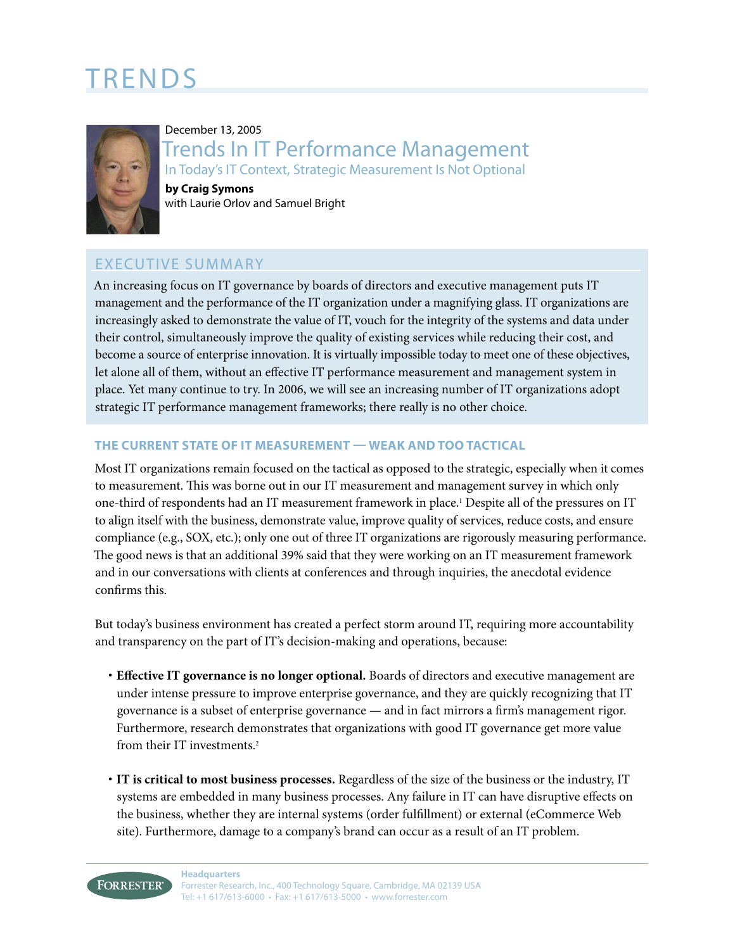# TRENDS



# December 13, 2005 Trends In IT Performance Management In Today's IT Context, Strategic Measurement Is Not Optional

**by Craig Symons** with Laurie Orlov and Samuel Bright

# EXECUTIVE SUMMARY

An increasing focus on IT governance by boards of directors and executive management puts IT management and the performance of the IT organization under a magnifying glass. IT organizations are increasingly asked to demonstrate the value of IT, vouch for the integrity of the systems and data under their control, simultaneously improve the quality of existing services while reducing their cost, and become a source of enterprise innovation. It is virtually impossible today to meet one of these objectives, let alone all of them, without an effective IT performance measurement and management system in place. Yet many continue to try. In 2006, we will see an increasing number of IT organizations adopt strategic IT performance management frameworks; there really is no other choice.

# **THE CURRENT STATE OF IT MEASUREMENT — WEAK AND TOO TACTICAL**

Most IT organizations remain focused on the tactical as opposed to the strategic, especially when it comes to measurement. This was borne out in our IT measurement and management survey in which only one-third of respondents had an IT measurement framework in place.1 Despite all of the pressures on IT to align itself with the business, demonstrate value, improve quality of services, reduce costs, and ensure compliance (e.g., SOX, etc.); only one out of three IT organizations are rigorously measuring performance. The good news is that an additional 39% said that they were working on an IT measurement framework and in our conversations with clients at conferences and through inquiries, the anecdotal evidence confirms this.

But today's business environment has created a perfect storm around IT, requiring more accountability and transparency on the part of IT's decision-making and operations, because:

- **· Effective IT governance is no longer optional.** Boards of directors and executive management are under intense pressure to improve enterprise governance, and they are quickly recognizing that IT governance is a subset of enterprise governance — and in fact mirrors a firm's management rigor. Furthermore, research demonstrates that organizations with good IT governance get more value from their IT investments.2
- **· IT is critical to most business processes.** Regardless of the size of the business or the industry, IT systems are embedded in many business processes. Any failure in IT can have disruptive effects on the business, whether they are internal systems (order fulfillment) or external (eCommerce Web site). Furthermore, damage to a company's brand can occur as a result of an IT problem.

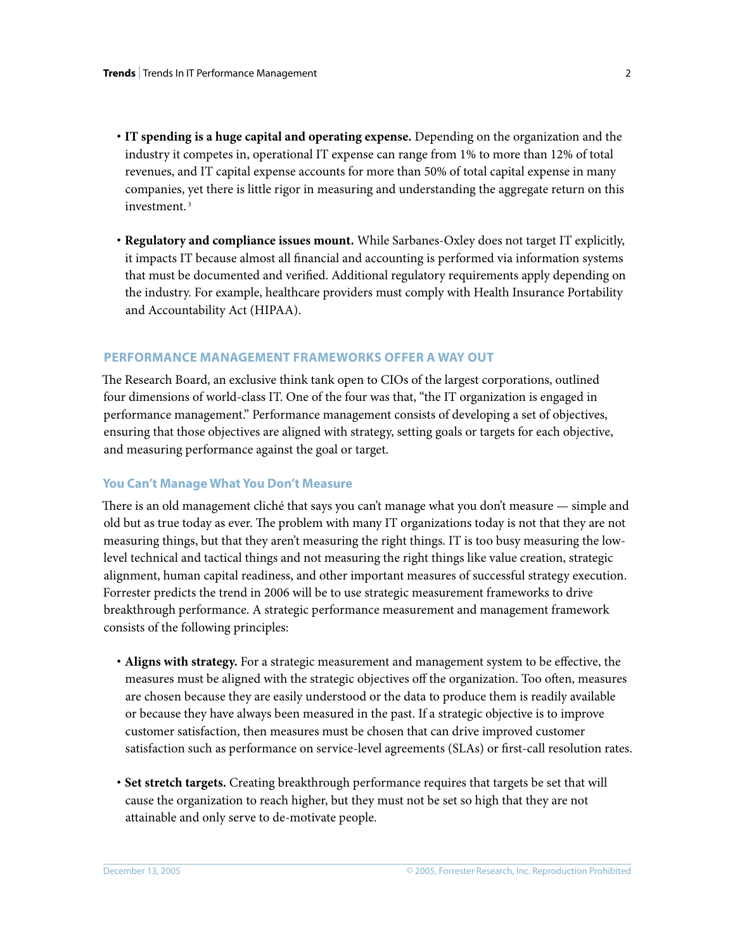- **· IT spending is a huge capital and operating expense.** Depending on the organization and the industry it competes in, operational IT expense can range from 1% to more than 12% of total revenues, and IT capital expense accounts for more than 50% of total capital expense in many companies, yet there is little rigor in measuring and understanding the aggregate return on this investment.<sup>3</sup>
- **· Regulatory and compliance issues mount.** While Sarbanes-Oxley does not target IT explicitly, it impacts IT because almost all financial and accounting is performed via information systems that must be documented and verified. Additional regulatory requirements apply depending on the industry. For example, healthcare providers must comply with Health Insurance Portability and Accountability Act (HIPAA).

# **PERFORMANCE MANAGEMENT FRAMEWORKS OFFER A WAY OUT**

The Research Board, an exclusive think tank open to CIOs of the largest corporations, outlined four dimensions of world-class IT. One of the four was that, "the IT organization is engaged in performance management." Performance management consists of developing a set of objectives, ensuring that those objectives are aligned with strategy, setting goals or targets for each objective, and measuring performance against the goal or target.

#### **You Can't Manage What You Don't Measure**

There is an old management cliché that says you can't manage what you don't measure — simple and old but as true today as ever. The problem with many IT organizations today is not that they are not measuring things, but that they aren't measuring the right things. IT is too busy measuring the lowlevel technical and tactical things and not measuring the right things like value creation, strategic alignment, human capital readiness, and other important measures of successful strategy execution. Forrester predicts the trend in 2006 will be to use strategic measurement frameworks to drive breakthrough performance. A strategic performance measurement and management framework consists of the following principles:

- **· Aligns with strategy.** For a strategic measurement and management system to be effective, the measures must be aligned with the strategic objectives off the organization. Too often, measures are chosen because they are easily understood or the data to produce them is readily available or because they have always been measured in the past. If a strategic objective is to improve customer satisfaction, then measures must be chosen that can drive improved customer satisfaction such as performance on service-level agreements (SLAs) or first-call resolution rates.
- **· Set stretch targets.** Creating breakthrough performance requires that targets be set that will cause the organization to reach higher, but they must not be set so high that they are not attainable and only serve to de-motivate people.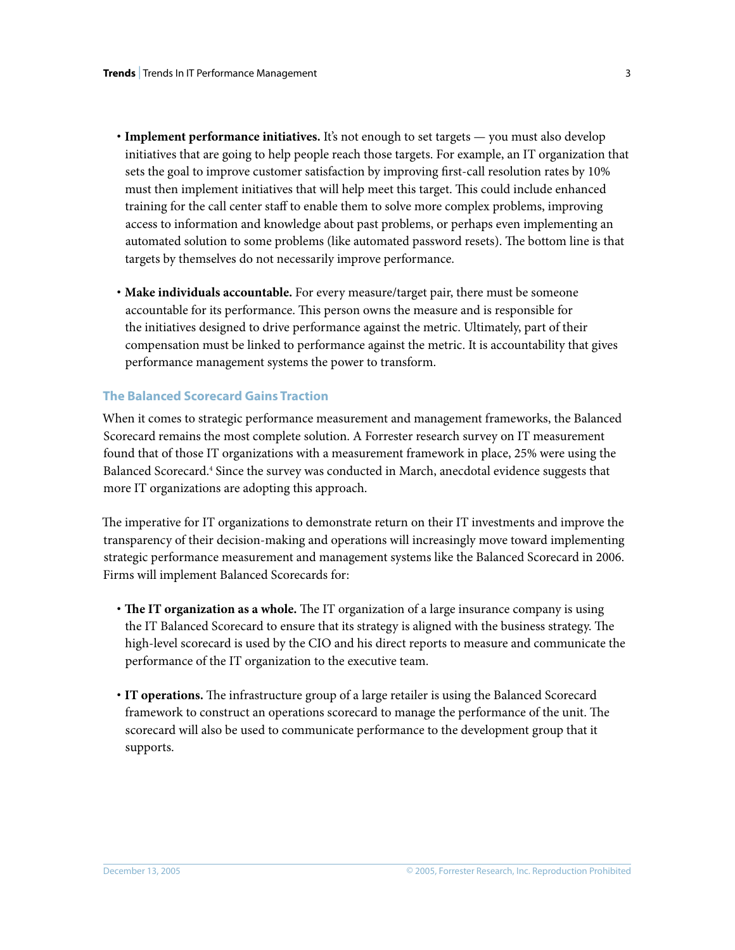- **· Implement performance initiatives.** It's not enough to set targets you must also develop initiatives that are going to help people reach those targets. For example, an IT organization that sets the goal to improve customer satisfaction by improving first-call resolution rates by 10% must then implement initiatives that will help meet this target. This could include enhanced training for the call center staff to enable them to solve more complex problems, improving access to information and knowledge about past problems, or perhaps even implementing an automated solution to some problems (like automated password resets). The bottom line is that targets by themselves do not necessarily improve performance.
- **· Make individuals accountable.** For every measure/target pair, there must be someone accountable for its performance. This person owns the measure and is responsible for the initiatives designed to drive performance against the metric. Ultimately, part of their compensation must be linked to performance against the metric. It is accountability that gives performance management systems the power to transform.

# **The Balanced Scorecard Gains Traction**

When it comes to strategic performance measurement and management frameworks, the Balanced Scorecard remains the most complete solution. A Forrester research survey on IT measurement found that of those IT organizations with a measurement framework in place, 25% were using the Balanced Scorecard.4 Since the survey was conducted in March, anecdotal evidence suggests that more IT organizations are adopting this approach.

The imperative for IT organizations to demonstrate return on their IT investments and improve the transparency of their decision-making and operations will increasingly move toward implementing strategic performance measurement and management systems like the Balanced Scorecard in 2006. Firms will implement Balanced Scorecards for:

- **· The IT organization as a whole.** The IT organization of a large insurance company is using the IT Balanced Scorecard to ensure that its strategy is aligned with the business strategy. The high-level scorecard is used by the CIO and his direct reports to measure and communicate the performance of the IT organization to the executive team.
- **· IT operations.** The infrastructure group of a large retailer is using the Balanced Scorecard framework to construct an operations scorecard to manage the performance of the unit. The scorecard will also be used to communicate performance to the development group that it supports.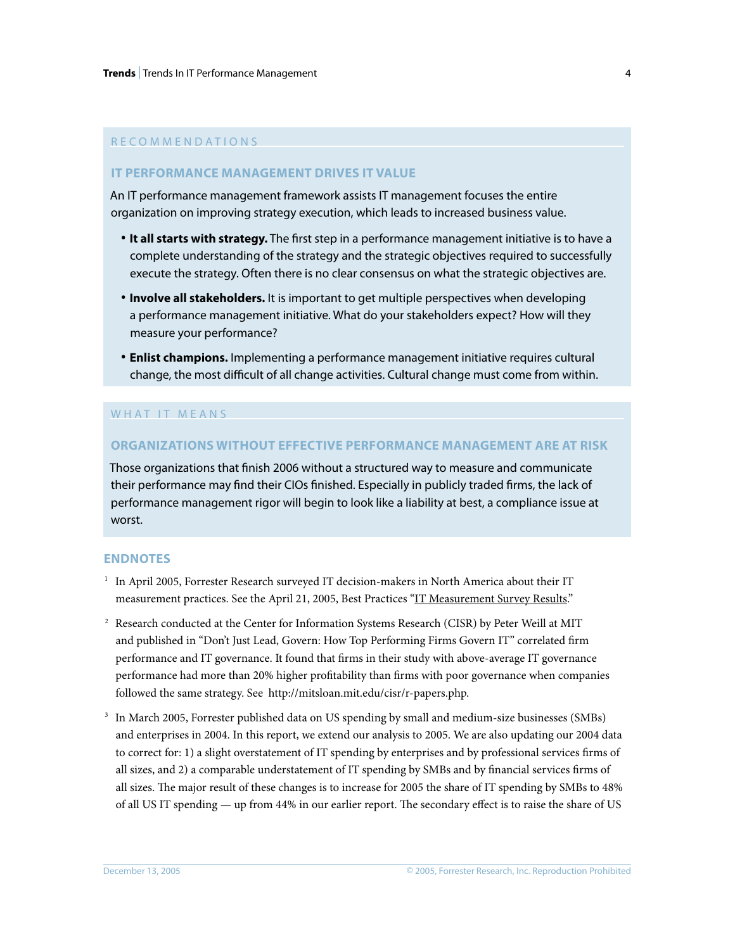## R E C O M M E N D A T I O N S

## **IT PERFORMANCE MANAGEMENT DRIVES IT VALUE**

An IT performance management framework assists IT management focuses the entire organization on improving strategy execution, which leads to increased business value.

- **· It all starts with strategy.** The first step in a performance management initiative is to have a complete understanding of the strategy and the strategic objectives required to successfully execute the strategy. Often there is no clear consensus on what the strategic objectives are.
- **· Involve all stakeholders.** It is important to get multiple perspectives when developing a performance management initiative. What do your stakeholders expect? How will they measure your performance?
- **· Enlist champions.** Implementing a performance management initiative requires cultural change, the most difficult of all change activities. Cultural change must come from within.

### WHAT IT MEANS

#### **ORGANIZATIONS WITHOUT EFFECTIVE PERFORMANCE MANAGEMENT ARE AT RISK**

Those organizations that finish 2006 without a structured way to measure and communicate their performance may find their CIOs finished. Especially in publicly traded firms, the lack of performance management rigor will begin to look like a liability at best, a compliance issue at worst.

#### **ENDNOTES**

- $^{\rm 1}~$  In April 2005, Forrester Research surveyed IT decision-makers in North America about their IT measurement practices. See the April 21, 2005, Best Practices ["IT Measurement Survey Results.](http://www.forrester.com/go?docid=36816&src=38392pdf)"
- $^2$  Research conducted at the Center for Information Systems Research (CISR) by Peter Weill at MIT and published in "Don't Just Lead, Govern: How Top Performing Firms Govern IT" correlated firm performance and IT governance. It found that firms in their study with above-average IT governance performance had more than 20% higher profitability than firms with poor governance when companies followed the same strategy. See http://mitsloan.mit.edu/cisr/r-papers.php.
- 3 In March 2005, Forrester published data on US spending by small and medium-size businesses (SMBs) and enterprises in 2004. In this report, we extend our analysis to 2005. We are also updating our 2004 data to correct for: 1) a slight overstatement of IT spending by enterprises and by professional services firms of all sizes, and 2) a comparable understatement of IT spending by SMBs and by financial services firms of all sizes. The major result of these changes is to increase for 2005 the share of IT spending by SMBs to 48% of all US IT spending — up from 44% in our earlier report. The secondary effect is to raise the share of US